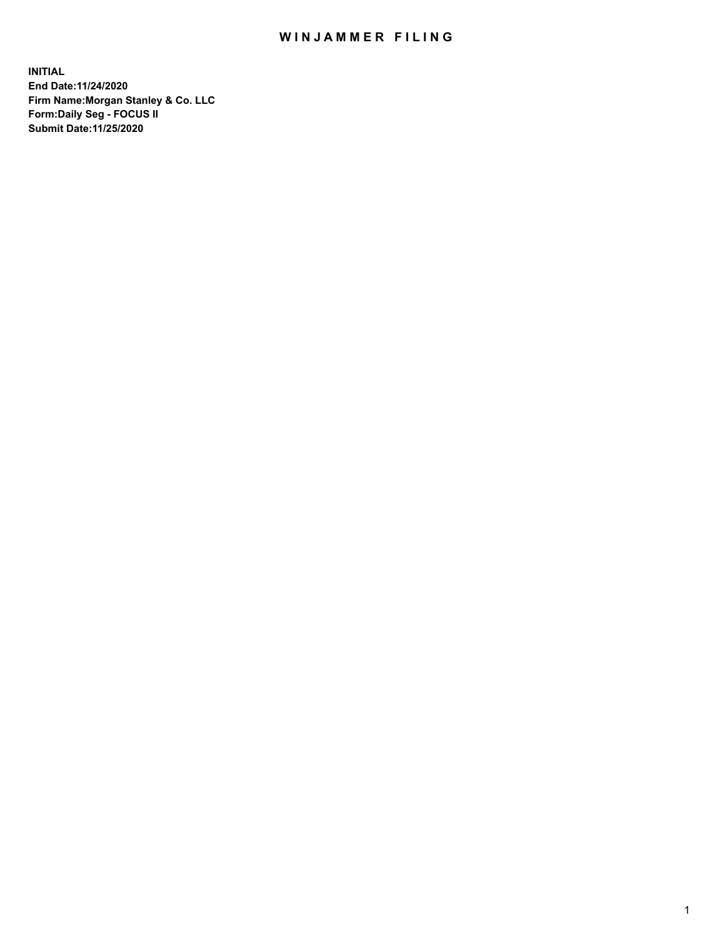## WIN JAMMER FILING

**INITIAL End Date:11/24/2020 Firm Name:Morgan Stanley & Co. LLC Form:Daily Seg - FOCUS II Submit Date:11/25/2020**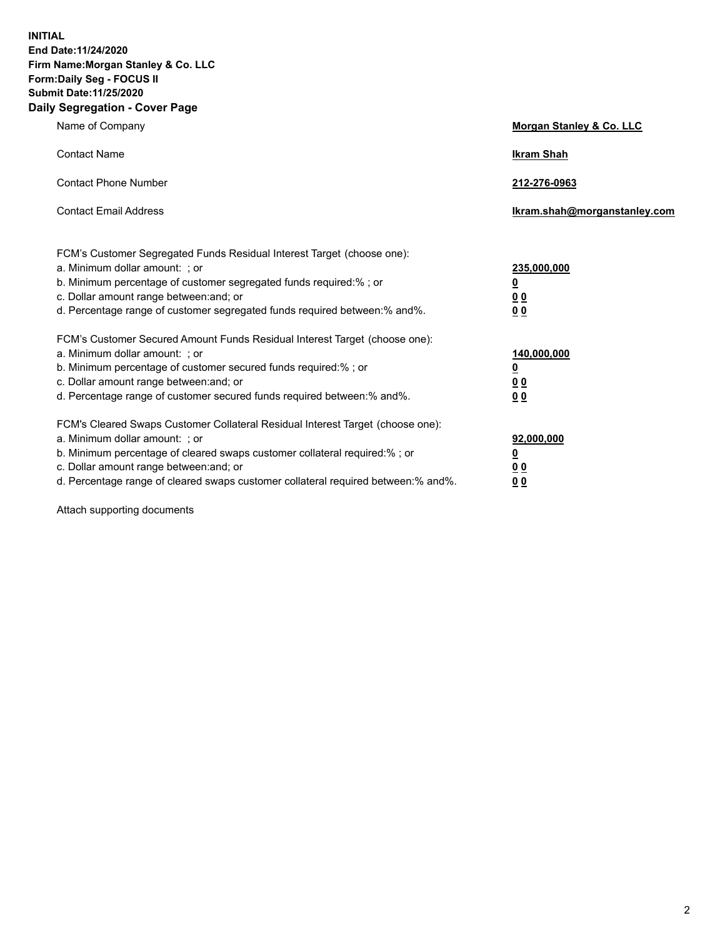**INITIAL End Date:11/24/2020 Firm Name:Morgan Stanley & Co. LLC Form:Daily Seg - FOCUS II Submit Date:11/25/2020 Daily Segregation - Cover Page**

| Name of Company                                                                                                                                                                                                                                                                                                                | Morgan Stanley & Co. LLC                                |
|--------------------------------------------------------------------------------------------------------------------------------------------------------------------------------------------------------------------------------------------------------------------------------------------------------------------------------|---------------------------------------------------------|
| <b>Contact Name</b>                                                                                                                                                                                                                                                                                                            | <b>Ikram Shah</b>                                       |
| <b>Contact Phone Number</b>                                                                                                                                                                                                                                                                                                    | 212-276-0963                                            |
| <b>Contact Email Address</b>                                                                                                                                                                                                                                                                                                   | Ikram.shah@morganstanley.com                            |
| FCM's Customer Segregated Funds Residual Interest Target (choose one):<br>a. Minimum dollar amount: ; or<br>b. Minimum percentage of customer segregated funds required:%; or<br>c. Dollar amount range between: and; or<br>d. Percentage range of customer segregated funds required between: % and %.                        | 235,000,000<br><u>0</u><br>00<br>0 Q                    |
| FCM's Customer Secured Amount Funds Residual Interest Target (choose one):<br>a. Minimum dollar amount: ; or<br>b. Minimum percentage of customer secured funds required:%; or<br>c. Dollar amount range between: and; or<br>d. Percentage range of customer secured funds required between:% and%.                            | 140,000,000<br><u>0</u><br><u>0 0</u><br>0 <sub>0</sub> |
| FCM's Cleared Swaps Customer Collateral Residual Interest Target (choose one):<br>a. Minimum dollar amount: ; or<br>b. Minimum percentage of cleared swaps customer collateral required:% ; or<br>c. Dollar amount range between: and; or<br>d. Percentage range of cleared swaps customer collateral required between:% and%. | 92,000,000<br><u>0</u><br><u>00</u><br>00               |

Attach supporting documents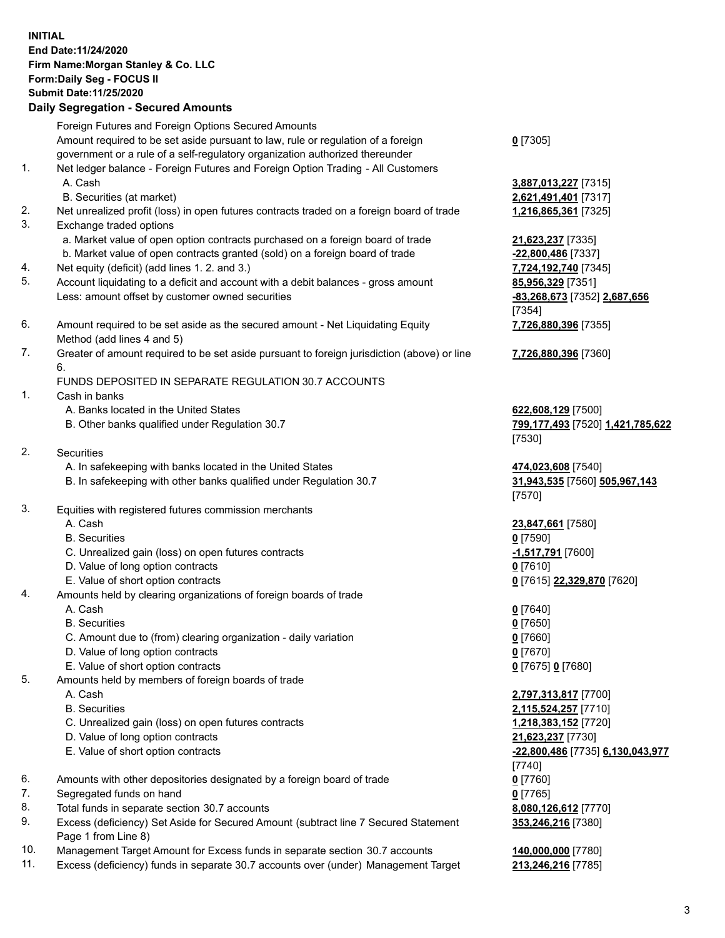## **INITIAL End Date:11/24/2020 Firm Name:Morgan Stanley & Co. LLC Form:Daily Seg - FOCUS II Submit Date:11/25/2020 Daily Segregation - Secured Amounts** Foreign Futures and Foreign Options Secured Amounts Amount required to be set aside pursuant to law, rule or regulation of a foreign government or a rule of a self-regulatory organization authorized thereunder 1. Net ledger balance - Foreign Futures and Foreign Option Trading - All Customers A. Cash **3,887,013,227** [7315] B. Securities (at market) **2,621,491,401** [7317]

- 2. Net unrealized profit (loss) in open futures contracts traded on a foreign board of trade **1,216,865,361** [7325]
- 3. Exchange traded options
	- a. Market value of open option contracts purchased on a foreign board of trade **21,623,237** [7335]
	- b. Market value of open contracts granted (sold) on a foreign board of trade **-22,800,486** [7337]
- 4. Net equity (deficit) (add lines 1. 2. and 3.) **7,724,192,740** [7345]
- 5. Account liquidating to a deficit and account with a debit balances gross amount **85,956,329** [7351] Less: amount offset by customer owned securities **-83,268,673** [7352] **2,687,656**
- 6. Amount required to be set aside as the secured amount Net Liquidating Equity Method (add lines 4 and 5)
- 7. Greater of amount required to be set aside pursuant to foreign jurisdiction (above) or line 6.

## FUNDS DEPOSITED IN SEPARATE REGULATION 30.7 ACCOUNTS

- 1. Cash in banks
	- A. Banks located in the United States **622,608,129** [7500]
	- B. Other banks qualified under Regulation 30.7 **799,177,493** [7520] **1,421,785,622**
- 2. Securities
	- A. In safekeeping with banks located in the United States **474,023,608** [7540]
	- B. In safekeeping with other banks qualified under Regulation 30.7 **31,943,535** [7560] **505,967,143**
- 3. Equities with registered futures commission merchants
	-
	- B. Securities **0** [7590]
	- C. Unrealized gain (loss) on open futures contracts **-1,517,791** [7600]
	- D. Value of long option contracts **0** [7610]
	- E. Value of short option contracts **0** [7615] **22,329,870** [7620]
- 4. Amounts held by clearing organizations of foreign boards of trade
	- A. Cash **0** [7640]
	- B. Securities **0** [7650]
	- C. Amount due to (from) clearing organization daily variation **0** [7660]
	- D. Value of long option contracts **0** [7670]
	- E. Value of short option contracts **0** [7675] **0** [7680]
- 5. Amounts held by members of foreign boards of trade
	-
	-
	- C. Unrealized gain (loss) on open futures contracts **1,218,383,152** [7720]
	- D. Value of long option contracts **21,623,237** [7730]
	-
- 6. Amounts with other depositories designated by a foreign board of trade **0** [7760]
- 7. Segregated funds on hand **0** [7765]
- 8. Total funds in separate section 30.7 accounts **8,080,126,612** [7770]
- 9. Excess (deficiency) Set Aside for Secured Amount (subtract line 7 Secured Statement Page 1 from Line 8)
- 10. Management Target Amount for Excess funds in separate section 30.7 accounts **140,000,000** [7780]
- 11. Excess (deficiency) funds in separate 30.7 accounts over (under) Management Target **213,246,216** [7785]

**0** [7305]

[7354] **7,726,880,396** [7355]

**7,726,880,396** [7360]

[7530]

[7570]

A. Cash **23,847,661** [7580]

 A. Cash **2,797,313,817** [7700] B. Securities **2,115,524,257** [7710] E. Value of short option contracts **-22,800,486** [7735] **6,130,043,977** [7740] **353,246,216** [7380]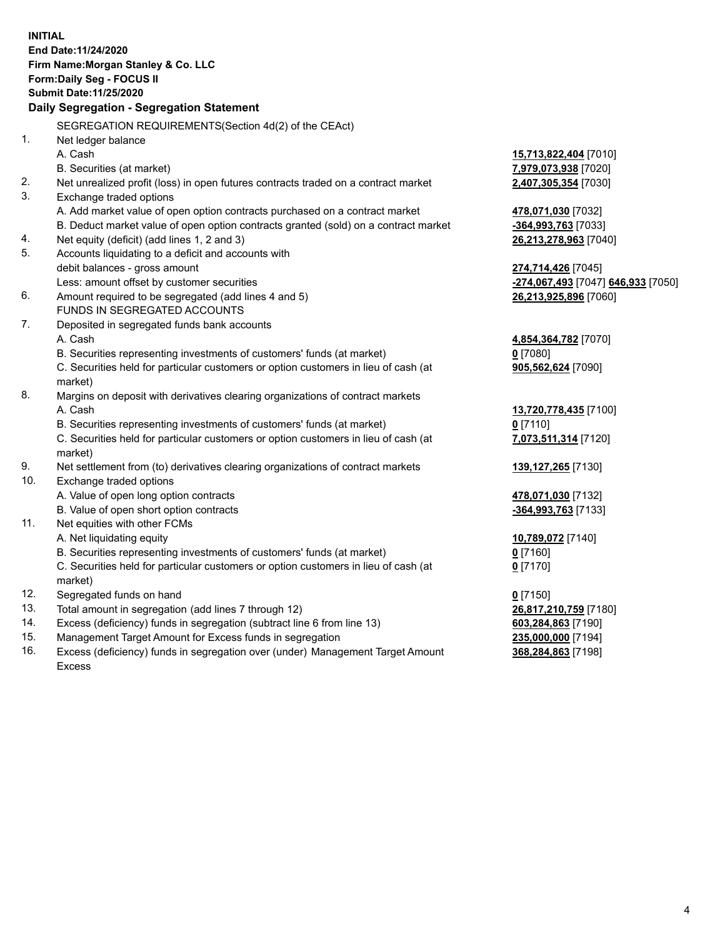|          | <b>INITIAL</b>                                                                                                                                                |                                                 |
|----------|---------------------------------------------------------------------------------------------------------------------------------------------------------------|-------------------------------------------------|
|          | End Date: 11/24/2020                                                                                                                                          |                                                 |
|          | Firm Name: Morgan Stanley & Co. LLC                                                                                                                           |                                                 |
|          | Form: Daily Seg - FOCUS II                                                                                                                                    |                                                 |
|          | <b>Submit Date: 11/25/2020</b>                                                                                                                                |                                                 |
|          | Daily Segregation - Segregation Statement                                                                                                                     |                                                 |
|          | SEGREGATION REQUIREMENTS(Section 4d(2) of the CEAct)                                                                                                          |                                                 |
| 1.       | Net ledger balance                                                                                                                                            |                                                 |
|          | A. Cash                                                                                                                                                       | 15,713,822,404 [7010]                           |
|          |                                                                                                                                                               | 7,979,073,938 [7020]                            |
| 2.       | B. Securities (at market)<br>Net unrealized profit (loss) in open futures contracts traded on a contract market                                               |                                                 |
| 3.       |                                                                                                                                                               | 2,407,305,354 [7030]                            |
|          | Exchange traded options                                                                                                                                       |                                                 |
|          | A. Add market value of open option contracts purchased on a contract market                                                                                   | 478,071,030 [7032]                              |
|          | B. Deduct market value of open option contracts granted (sold) on a contract market                                                                           | -364,993,763 [7033]                             |
| 4.<br>5. | Net equity (deficit) (add lines 1, 2 and 3)                                                                                                                   | 26,213,278,963 [7040]                           |
|          | Accounts liquidating to a deficit and accounts with                                                                                                           |                                                 |
|          | debit balances - gross amount                                                                                                                                 | 274,714,426 [7045]                              |
| 6.       | Less: amount offset by customer securities                                                                                                                    | <mark>-274,067,493</mark> [7047] 646,933 [7050] |
|          | Amount required to be segregated (add lines 4 and 5)<br>FUNDS IN SEGREGATED ACCOUNTS                                                                          | 26,213,925,896 [7060]                           |
| 7.       |                                                                                                                                                               |                                                 |
|          | Deposited in segregated funds bank accounts<br>A. Cash                                                                                                        |                                                 |
|          |                                                                                                                                                               | 4,854,364,782 [7070]                            |
|          | B. Securities representing investments of customers' funds (at market)<br>C. Securities held for particular customers or option customers in lieu of cash (at | $0$ [7080]                                      |
|          | market)                                                                                                                                                       | 905,562,624 [7090]                              |
| 8.       | Margins on deposit with derivatives clearing organizations of contract markets                                                                                |                                                 |
|          | A. Cash                                                                                                                                                       |                                                 |
|          | B. Securities representing investments of customers' funds (at market)                                                                                        | 13,720,778,435 [7100]<br>$0$ [7110]             |
|          | C. Securities held for particular customers or option customers in lieu of cash (at                                                                           |                                                 |
|          | market)                                                                                                                                                       | 7,073,511,314 [7120]                            |
| 9.       | Net settlement from (to) derivatives clearing organizations of contract markets                                                                               | 139, 127, 265 [7130]                            |
| 10.      | Exchange traded options                                                                                                                                       |                                                 |
|          | A. Value of open long option contracts                                                                                                                        | 478,071,030 [7132]                              |
|          | B. Value of open short option contracts                                                                                                                       | -364,993,763 [7133]                             |
| 11.      | Net equities with other FCMs                                                                                                                                  |                                                 |
|          | A. Net liquidating equity                                                                                                                                     | 10,789,072 [7140]                               |
|          | B. Securities representing investments of customers' funds (at market)                                                                                        | $\underline{0}$ [7160]                          |
|          | C. Securities held for particular customers or option customers in lieu of cash (at                                                                           | $0$ [7170]                                      |
|          | market)                                                                                                                                                       |                                                 |
| 12.      | Segregated funds on hand                                                                                                                                      | $0$ [7150]                                      |
| 13.      | Total amount in segregation (add lines 7 through 12)                                                                                                          | 26,817,210,759 [7180]                           |
| 14.      | Excess (deficiency) funds in segregation (subtract line 6 from line 13)                                                                                       | 603,284,863 [7190]                              |
| 15.      | Management Target Amount for Excess funds in segregation                                                                                                      | 235,000,000 [7194]                              |
| 16.      | Excess (deficiency) funds in segregation over (under) Management Target Amount                                                                                | 368,284,863 [7198]                              |
|          |                                                                                                                                                               |                                                 |

16. Excess (deficiency) funds in segregation over (under) Management Target Amount Excess